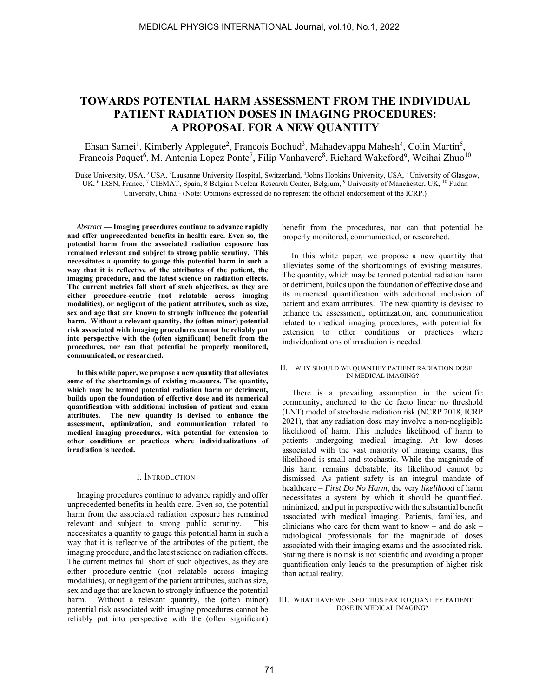# **TOWARDS POTENTIAL HARM ASSESSMENT FROM THE INDIVIDUAL PATIENT RADIATION DOSES IN IMAGING PROCEDURES: A PROPOSAL FOR A NEW QUANTITY**

Ehsan Samei<sup>1</sup>, Kimberly Applegate<sup>2</sup>, Francois Bochud<sup>3</sup>, Mahadevappa Mahesh<sup>4</sup>, Colin Martin<sup>5</sup>, Francois Paquet<sup>6</sup>, M. Antonia Lopez Ponte<sup>7</sup>, Filip Vanhavere<sup>8</sup>, Richard Wakeford<sup>9</sup>, Weihai Zhuo<sup>10</sup>

<sup>1</sup> Duke University, USA, <sup>2</sup>USA, <sup>3</sup>Lausanne University Hospital, Switzerland, <sup>4</sup>Johns Hopkins University, USA, <sup>5</sup>University of Glasgow, UK, <sup>6</sup> IRSN, France, <sup>7</sup> CIEMAT, Spain, 8 Belgian Nuclear Research Center, Belgium, <sup>9</sup> University of Manchester, UK, <sup>10</sup> Fudan University, China - (Note: Opinions expressed do no represent the official endorsement of the ICRP.)

*Abstract* **— Imaging procedures continue to advance rapidly and offer unprecedented benefits in health care. Even so, the potential harm from the associated radiation exposure has remained relevant and subject to strong public scrutiny. This necessitates a quantity to gauge this potential harm in such a way that it is reflective of the attributes of the patient, the imaging procedure, and the latest science on radiation effects. The current metrics fall short of such objectives, as they are either procedure-centric (not relatable across imaging modalities), or negligent of the patient attributes, such as size, sex and age that are known to strongly influence the potential harm. Without a relevant quantity, the (often minor) potential risk associated with imaging procedures cannot be reliably put into perspective with the (often significant) benefit from the procedures, nor can that potential be properly monitored, communicated, or researched.** 

**In this white paper, we propose a new quantity that alleviates some of the shortcomings of existing measures. The quantity, which may be termed potential radiation harm or detriment, builds upon the foundation of effective dose and its numerical quantification with additional inclusion of patient and exam attributes. The new quantity is devised to enhance the assessment, optimization, and communication related to medical imaging procedures, with potential for extension to other conditions or practices where individualizations of irradiation is needed.** 

# I. INTRODUCTION

Imaging procedures continue to advance rapidly and offer unprecedented benefits in health care. Even so, the potential harm from the associated radiation exposure has remained relevant and subject to strong public scrutiny. This necessitates a quantity to gauge this potential harm in such a way that it is reflective of the attributes of the patient, the imaging procedure, and the latest science on radiation effects. The current metrics fall short of such objectives, as they are either procedure-centric (not relatable across imaging modalities), or negligent of the patient attributes, such as size, sex and age that are known to strongly influence the potential harm. Without a relevant quantity, the (often minor) potential risk associated with imaging procedures cannot be reliably put into perspective with the (often significant) benefit from the procedures, nor can that potential be properly monitored, communicated, or researched.

In this white paper, we propose a new quantity that alleviates some of the shortcomings of existing measures. The quantity, which may be termed potential radiation harm or detriment, builds upon the foundation of effective dose and its numerical quantification with additional inclusion of patient and exam attributes. The new quantity is devised to enhance the assessment, optimization, and communication related to medical imaging procedures, with potential for extension to other conditions or practices where individualizations of irradiation is needed.

## II. WHY SHOULD WE QUANTIFY PATIENT RADIATION DOSE IN MEDICAL IMAGING?

There is a prevailing assumption in the scientific community, anchored to the de facto linear no threshold (LNT) model of stochastic radiation risk (NCRP 2018, ICRP 2021), that any radiation dose may involve a non-negligible likelihood of harm. This includes likelihood of harm to patients undergoing medical imaging. At low doses associated with the vast majority of imaging exams, this likelihood is small and stochastic. While the magnitude of this harm remains debatable, its likelihood cannot be dismissed. As patient safety is an integral mandate of healthcare – *First Do No Harm*, the very *likelihood* of harm necessitates a system by which it should be quantified, minimized, and put in perspective with the substantial benefit associated with medical imaging. Patients, families, and clinicians who care for them want to know – and do ask – radiological professionals for the magnitude of doses associated with their imaging exams and the associated risk. Stating there is no risk is not scientific and avoiding a proper quantification only leads to the presumption of higher risk than actual reality.

#### III. WHAT HAVE WE USED THUS FAR TO QUANTIFY PATIENT DOSE IN MEDICAL IMAGING?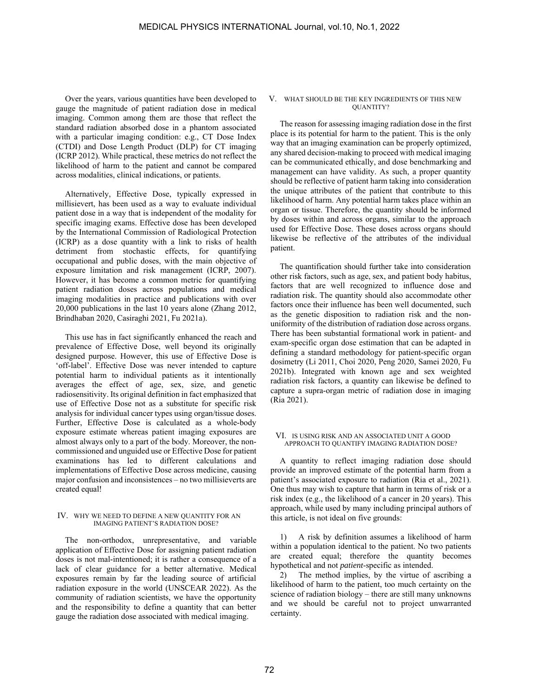Over the years, various quantities have been developed to gauge the magnitude of patient radiation dose in medical imaging. Common among them are those that reflect the standard radiation absorbed dose in a phantom associated with a particular imaging condition: e.g., CT Dose Index (CTDI) and Dose Length Product (DLP) for CT imaging (ICRP 2012). While practical, these metrics do not reflect the likelihood of harm to the patient and cannot be compared across modalities, clinical indications, or patients.

Alternatively, Effective Dose, typically expressed in millisievert, has been used as a way to evaluate individual patient dose in a way that is independent of the modality for specific imaging exams. Effective dose has been developed by the International Commission of Radiological Protection (ICRP) as a dose quantity with a link to risks of health detriment from stochastic effects, for quantifying occupational and public doses, with the main objective of exposure limitation and risk management (ICRP, 2007). However, it has become a common metric for quantifying patient radiation doses across populations and medical imaging modalities in practice and publications with over 20,000 publications in the last 10 years alone (Zhang 2012, Brindhaban 2020, Casiraghi 2021, Fu 2021a).

This use has in fact significantly enhanced the reach and prevalence of Effective Dose, well beyond its originally designed purpose. However, this use of Effective Dose is 'off-label'. Effective Dose was never intended to capture potential harm to individual patients as it intentionally averages the effect of age, sex, size, and genetic radiosensitivity. Its original definition in fact emphasized that use of Effective Dose not as a substitute for specific risk analysis for individual cancer types using organ/tissue doses. Further, Effective Dose is calculated as a whole-body exposure estimate whereas patient imaging exposures are almost always only to a part of the body. Moreover, the noncommissioned and unguided use or Effective Dose for patient examinations has led to different calculations and implementations of Effective Dose across medicine, causing major confusion and inconsistences – no two millisieverts are created equal!

#### IV. WHY WE NEED TO DEFINE A NEW QUANTITY FOR AN IMAGING PATIENT'S RADIATION DOSE?

The non-orthodox, unrepresentative, and variable application of Effective Dose for assigning patient radiation doses is not mal-intentioned; it is rather a consequence of a lack of clear guidance for a better alternative. Medical exposures remain by far the leading source of artificial radiation exposure in the world (UNSCEAR 2022). As the community of radiation scientists, we have the opportunity and the responsibility to define a quantity that can better gauge the radiation dose associated with medical imaging.

#### V. WHAT SHOULD BE THE KEY INGREDIENTS OF THIS NEW QUANTITY?

The reason for assessing imaging radiation dose in the first place is its potential for harm to the patient. This is the only way that an imaging examination can be properly optimized, any shared decision-making to proceed with medical imaging can be communicated ethically, and dose benchmarking and management can have validity. As such, a proper quantity should be reflective of patient harm taking into consideration the unique attributes of the patient that contribute to this likelihood of harm. Any potential harm takes place within an organ or tissue. Therefore, the quantity should be informed by doses within and across organs, similar to the approach used for Effective Dose. These doses across organs should likewise be reflective of the attributes of the individual patient.

The quantification should further take into consideration other risk factors, such as age, sex, and patient body habitus, factors that are well recognized to influence dose and radiation risk. The quantity should also accommodate other factors once their influence has been well documented, such as the genetic disposition to radiation risk and the nonuniformity of the distribution of radiation dose across organs. There has been substantial formational work in patient- and exam-specific organ dose estimation that can be adapted in defining a standard methodology for patient-specific organ dosimetry (Li 2011, Choi 2020, Peng 2020, Samei 2020, Fu 2021b). Integrated with known age and sex weighted radiation risk factors, a quantity can likewise be defined to capture a supra-organ metric of radiation dose in imaging (Ria 2021).

#### VI. IS USING RISK AND AN ASSOCIATED UNIT A GOOD APPROACH TO QUANTIFY IMAGING RADIATION DOSE?

A quantity to reflect imaging radiation dose should provide an improved estimate of the potential harm from a patient's associated exposure to radiation (Ria et al., 2021). One thus may wish to capture that harm in terms of risk or a risk index (e.g., the likelihood of a cancer in 20 years). This approach, while used by many including principal authors of this article, is not ideal on five grounds:

1) A risk by definition assumes a likelihood of harm within a population identical to the patient. No two patients are created equal; therefore the quantity becomes hypothetical and not *patient*-specific as intended.

2) The method implies, by the virtue of ascribing a likelihood of harm to the patient, too much certainty on the science of radiation biology – there are still many unknowns and we should be careful not to project unwarranted certainty.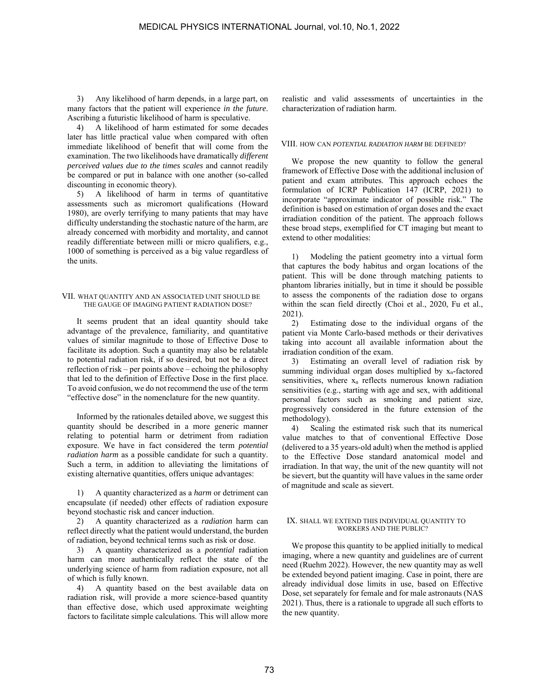3) Any likelihood of harm depends, in a large part, on many factors that the patient will experience *in the future*. Ascribing a futuristic likelihood of harm is speculative.

4) A likelihood of harm estimated for some decades later has little practical value when compared with often immediate likelihood of benefit that will come from the examination. The two likelihoods have dramatically *different perceived values due to the times scales* and cannot readily be compared or put in balance with one another (so-called discounting in economic theory).

5) A likelihood of harm in terms of quantitative assessments such as micromort qualifications (Howard 1980), are overly terrifying to many patients that may have difficulty understanding the stochastic nature of the harm, are already concerned with morbidity and mortality, and cannot readily differentiate between milli or micro qualifiers, e.g., 1000 of something is perceived as a big value regardless of the units.

#### VII. WHAT QUANTITY AND AN ASSOCIATED UNIT SHOULD BE THE GAUGE OF IMAGING PATIENT RADIATION DOSE?

It seems prudent that an ideal quantity should take advantage of the prevalence, familiarity, and quantitative values of similar magnitude to those of Effective Dose to facilitate its adoption. Such a quantity may also be relatable to potential radiation risk, if so desired, but not be a direct reflection of risk – per points above – echoing the philosophy that led to the definition of Effective Dose in the first place. To avoid confusion, we do not recommend the use of the term "effective dose" in the nomenclature for the new quantity.

Informed by the rationales detailed above, we suggest this quantity should be described in a more generic manner relating to potential harm or detriment from radiation exposure. We have in fact considered the term *potential radiation harm* as a possible candidate for such a quantity. Such a term, in addition to alleviating the limitations of existing alternative quantities, offers unique advantages:

1) A quantity characterized as a *harm* or detriment can encapsulate (if needed) other effects of radiation exposure beyond stochastic risk and cancer induction.

2) A quantity characterized as a *radiation* harm can reflect directly what the patient would understand, the burden of radiation, beyond technical terms such as risk or dose.

3) A quantity characterized as a *potential* radiation harm can more authentically reflect the state of the underlying science of harm from radiation exposure, not all of which is fully known.

4) A quantity based on the best available data on radiation risk, will provide a more science-based quantity than effective dose, which used approximate weighting factors to facilitate simple calculations. This will allow more realistic and valid assessments of uncertainties in the characterization of radiation harm.

# VIII. HOW CAN *POTENTIAL RADIATION HARM* BE DEFINED?

We propose the new quantity to follow the general framework of Effective Dose with the additional inclusion of patient and exam attributes. This approach echoes the formulation of ICRP Publication 147 (ICRP, 2021) to incorporate "approximate indicator of possible risk." The definition is based on estimation of organ doses and the exact irradiation condition of the patient. The approach follows these broad steps, exemplified for CT imaging but meant to extend to other modalities:

1) Modeling the patient geometry into a virtual form that captures the body habitus and organ locations of the patient. This will be done through matching patients to phantom libraries initially, but in time it should be possible to assess the components of the radiation dose to organs within the scan field directly (Choi et al., 2020, Fu et al., 2021).

2) Estimating dose to the individual organs of the patient via Monte Carlo-based methods or their derivatives taking into account all available information about the irradiation condition of the exam.

3) Estimating an overall level of radiation risk by summing individual organ doses multiplied by  $x_n$ -factored sensitivities, where  $x_n$  reflects numerous known radiation sensitivities (e.g., starting with age and sex, with additional personal factors such as smoking and patient size, progressively considered in the future extension of the methodology).

4) Scaling the estimated risk such that its numerical value matches to that of conventional Effective Dose (delivered to a 35 years-old adult) when the method is applied to the Effective Dose standard anatomical model and irradiation. In that way, the unit of the new quantity will not be sievert, but the quantity will have values in the same order of magnitude and scale as sievert.

#### IX. SHALL WE EXTEND THIS INDIVIDUAL QUANTITY TO WORKERS AND THE PUBLIC?

We propose this quantity to be applied initially to medical imaging, where a new quantity and guidelines are of current need (Ruehm 2022). However, the new quantity may as well be extended beyond patient imaging. Case in point, there are already individual dose limits in use, based on Effective Dose, set separately for female and for male astronauts (NAS 2021). Thus, there is a rationale to upgrade all such efforts to the new quantity.